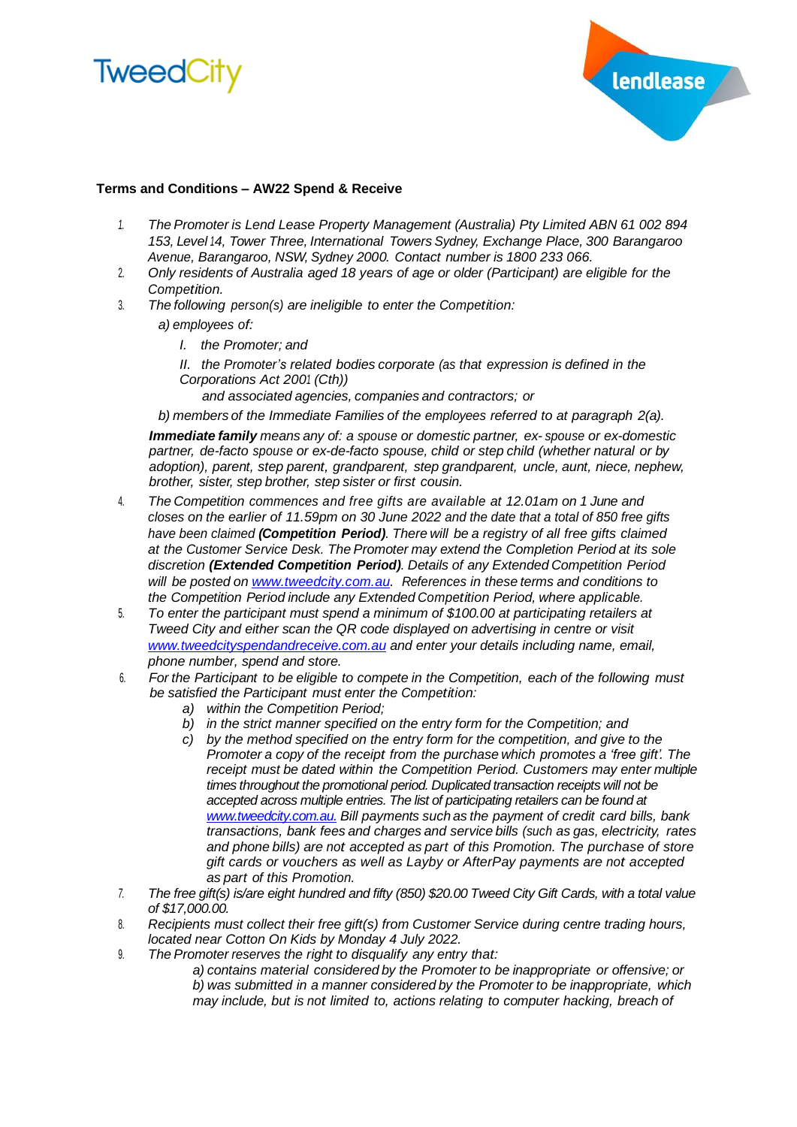



## **Terms and Conditions – AW22 Spend & Receive**

- *1. The Promoter is Lend Lease Property Management (Australia) Pty Limited ABN 61 002 894 153, Level 14, Tower Three, International Towers Sydney, Exchange Place, 300 Barangaroo Avenue, Barangaroo, NSW, Sydney 2000. Contact number is 1800 233 066.*
- 2. *Only residents of Australia aged 18 years of age or older (Participant) are eligible for the Competition.*
- 3. *The following person(s) are ineligible to enter the Competition:*
	- *a) employees of:*
		- *I. the Promoter; and*
		- *II. the Promoter's related bodies corporate (as that expression is defined in the Corporations Act 2001 (Cth))*
			- *and associated agencies, companies and contractors; or*

*b) members of the Immediate Families of the employees referred to at paragraph 2(a).*

*Immediate family means any of: a spouse or domestic partner, ex- spouse or ex-domestic partner, de-facto spouse or ex-de-facto spouse, child or step child (whether natural or by adoption), parent, step parent, grandparent, step grandparent, uncle, aunt, niece, nephew, brother, sister, step brother, step sister or first cousin.*

- 4. *The Competition commences and free gifts are available at 12.01am on 1 June and closes on the earlier of 11.59pm on 30 June 2022 and the date that a total of 850 free gifts have been claimed (Competition Period). There will be a registry of all free gifts claimed at the Customer Service Desk. The Promoter may extend the Completion Period at its sole discretion (Extended Competition Period). Details of any Extended Competition Period will be posted on [www.tweedcity.com.au.](http://www.tweedcity.com.au/) References in these terms and conditions to the Competition Period include any Extended Competition Period, where applicable.*
- 5. *To enter the participant must spend a minimum of \$100.00 at participating retailers at Tweed City and either scan the QR code displayed on advertising in centre or visit [www.tweedcityspendandreceive.com.au](http://www.tweedcityspendandreceive.com.au/) and enter your details including name, email, phone number, spend and store.*
- 6. *For the Participant to be eligible to compete in the Competition, each of the following must be satisfied the Participant must enter the Competition:*
	- *a) within the Competition Period;*
	- *b) in the strict manner specified on the entry form for the Competition; and*
	- *c) by the method specified on the entry form for the competition, and give to the Promoter a copy of the receipt from the purchase which promotes a 'free gift'. The receipt must be dated within the Competition Period. Customers may enter multiple times throughout the promotional period. Duplicated transaction receipts will not be accepted across multiple entries. The list of participating retailers can be found at [www.tweedcity.com.au.](http://www.tweedcity.com.au/) Bill payments such as the payment of credit card bills, bank transactions, bank fees and charges and service bills (such as gas, electricity, rates and phone bills) are not accepted as part of this Promotion. The purchase of store gift cards or vouchers as well as Layby or AfterPay payments are not accepted as part of this Promotion.*
- *7. The free gift(s) is/are eight hundred and fifty (850) \$20.00 Tweed City Gift Cards, with a total value of \$17,000.00.*
- 8. *Recipients must collect their free gift(s) from Customer Service during centre trading hours, located near Cotton On Kids by Monday 4 July 2022.*
- 9. *The Promoter reserves the right to disqualify any entry that:*
	- *a) contains material considered by the Promoter to be inappropriate or offensive; or b) was submitted in a manner considered by the Promoter to be inappropriate, which may include, but is not limited to, actions relating to computer hacking, breach of*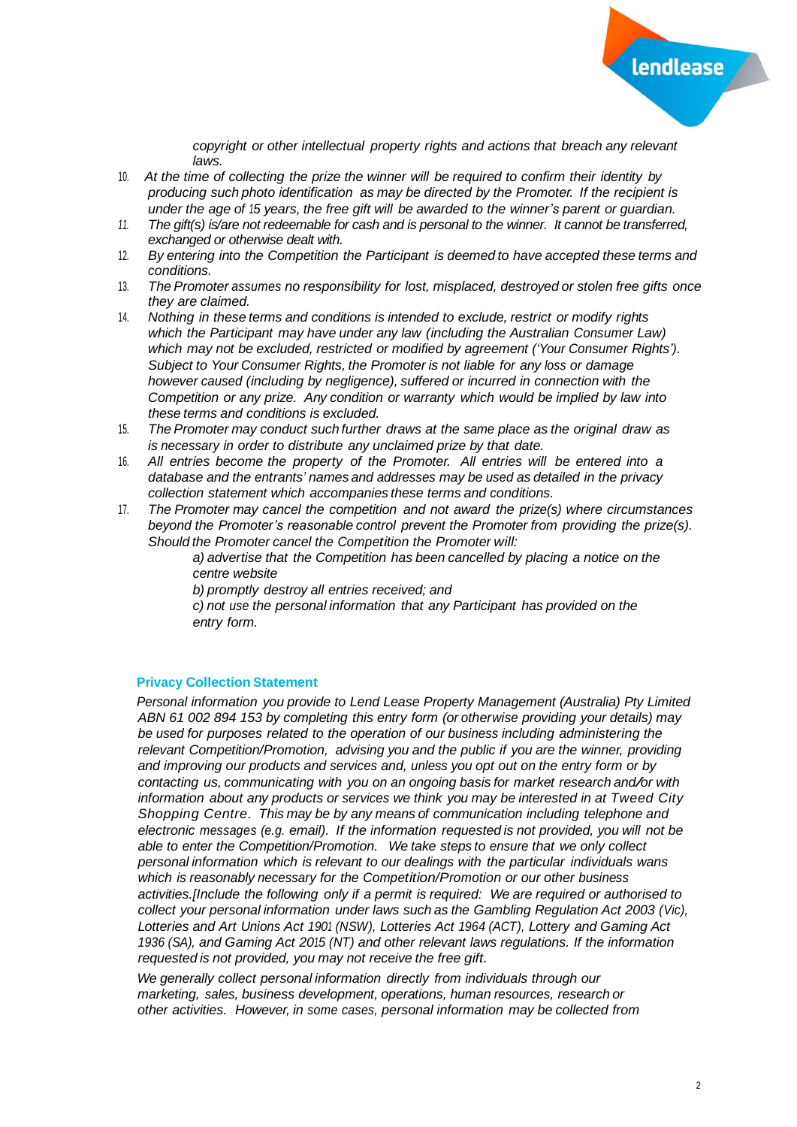

*copyright or other intellectual property rights and actions that breach any relevant laws.*

- 10. *At the time of collecting the prize the winner will be required to confirm their identity by producing such photo identification as may be directed by the Promoter. If the recipient is under the age of 15 years, the free gift will be awarded to the winner's parent or guardian.*
- *11. The gift(s) is/are not redeemable for cash and is personal to the winner. It cannot be transferred, exchanged or otherwise dealt with.*
- 12. *By entering into the Competition the Participant is deemed to have accepted these terms and conditions.*
- 13. *The Promoter assumes no responsibility for lost, misplaced, destroyed or stolen free gifts once they are claimed.*
- 14. *Nothing in these terms and conditions is intended to exclude, restrict or modify rights which the Participant may have under any law (including the Australian Consumer Law) which may not be excluded, restricted or modified by agreement ('Your Consumer Rights'). Subject to Your Consumer Rights, the Promoter is not liable for any loss or damage however caused (including by negligence), suffered or incurred in connection with the Competition or any prize. Any condition or warranty which would be implied by law into these terms and conditions is excluded.*
- 15. *The Promoter may conduct such further draws at the same place as the original draw as is necessary in order to distribute any unclaimed prize by that date.*
- 16. *All entries become the property of the Promoter. All entries will be entered into a database and the entrants' names and addresses may be used as detailed in the privacy collection statement which accompanies these terms and conditions.*
- 17. *The Promoter may cancel the competition and not award the prize(s) where circumstances beyond the Promoter's reasonable control prevent the Promoter from providing the prize(s). Should the Promoter cancel the Competition the Promoter will:*

*a) advertise that the Competition has been cancelled by placing a notice on the centre website*

*b) promptly destroy all entries received; and*

*c) not use the personal information that any Participant has provided on the entry form.*

## **Privacy Collection Statement**

*Personal information you provide to Lend Lease Property Management (Australia) Pty Limited ABN 61 002 894 153 by completing this entry form (or otherwise providing your details) may be used for purposes related to the operation of our business including administering the relevant Competition/Promotion, advising you and the public if you are the winner, providing and improving our products and services and, unless you opt out on the entry form or by contacting us, communicating with you on an ongoing basis for market research and/or with information about any products or services we think you may be interested in at Tweed City Shopping Centre. This may be by any means of communication including telephone and electronic messages (e.g. email). If the information requested is not provided, you will not be able to enter the Competition/Promotion. We take steps to ensure that we only collect personal information which is relevant to our dealings with the particular individuals wans which is reasonably necessary for the Competition/Promotion or our other business activities.[Include the following only if a permit is required: We are required or authorised to collect your personal information under laws such as the Gambling Regulation Act 2003 (Vic), Lotteries and Art Unions Act 1901 (NSW), Lotteries Act 1964 (ACT), Lottery and Gaming Act 1936 (SA), and Gaming Act 2015 (NT) and other relevant laws regulations. If the information requested is not provided, you may not receive the free gift.*

*We generally collect personal information directly from individuals through our marketing, sales, business development, operations, human resources, research or other activities. However, in some cases, personal information may be collected from*